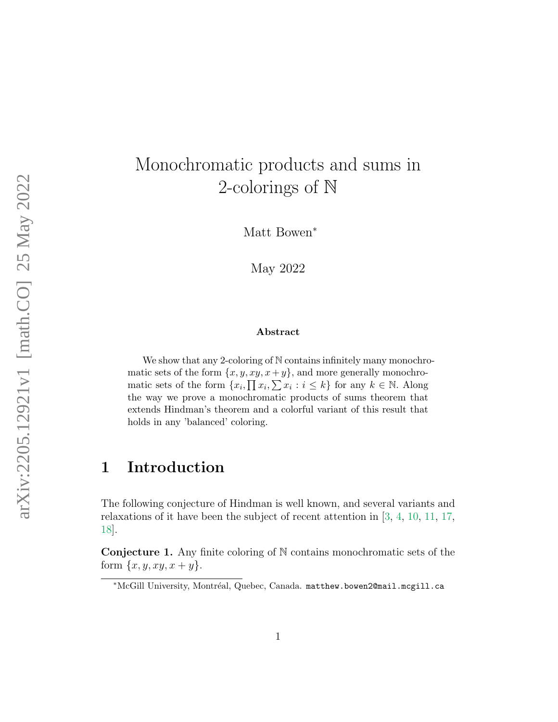# Monochromatic products and sums in 2-colorings of N

Matt Bowen<sup>\*</sup>

May 2022

#### Abstract

We show that any 2-coloring of N contains infinitely many monochromatic sets of the form  $\{x, y, xy, x+y\}$ , and more generally monochromatic sets of the form  $\{x_i, \prod x_i, \sum x_i : i \leq k\}$  for any  $k \in \mathbb{N}$ . Along the way we prove a monochromatic products of sums theorem that extends Hindman's theorem and a colorful variant of this result that holds in any 'balanced' coloring.

### 1 Introduction

The following conjecture of Hindman is well known, and several variants and relaxations of it have been the subject of recent attention in [\[3,](#page-13-0) [4,](#page-13-1) [10,](#page-14-0) [11,](#page-14-1) [17,](#page-15-0) [18\]](#page-15-1).

**Conjecture 1.** Any finite coloring of  $N$  contains monochromatic sets of the form  $\{x, y, xy, x + y\}.$ 

<sup>∗</sup>McGill University, Montr´eal, Quebec, Canada. matthew.bowen2@mail.mcgill.ca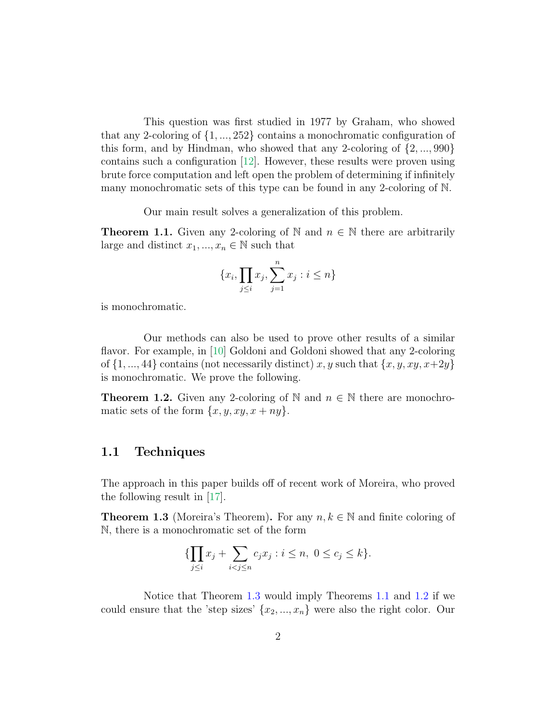This question was first studied in 1977 by Graham, who showed that any 2-coloring of  $\{1, ..., 252\}$  contains a monochromatic configuration of this form, and by Hindman, who showed that any 2-coloring of  $\{2, ..., 990\}$ contains such a configuration [\[12\]](#page-14-2). However, these results were proven using brute force computation and left open the problem of determining if infinitely many monochromatic sets of this type can be found in any 2-coloring of N.

Our main result solves a generalization of this problem.

<span id="page-1-1"></span>**Theorem 1.1.** Given any 2-coloring of N and  $n \in \mathbb{N}$  there are arbitrarily large and distinct  $x_1, ..., x_n \in \mathbb{N}$  such that

$$
\{x_i, \prod_{j\leq i} x_j, \sum_{j=1}^n x_j : i \leq n\}
$$

is monochromatic.

Our methods can also be used to prove other results of a similar flavor. For example, in [\[10\]](#page-14-0) Goldoni and Goldoni showed that any 2-coloring of  $\{1, ..., 44\}$  contains (not necessarily distinct) x, y such that  $\{x, y, xy, x+2y\}$ is monochromatic. We prove the following.

<span id="page-1-2"></span>**Theorem 1.2.** Given any 2-coloring of N and  $n \in \mathbb{N}$  there are monochromatic sets of the form  $\{x, y, xy, x + ny\}.$ 

#### 1.1 Techniques

The approach in this paper builds off of recent work of Moreira, who proved the following result in [\[17\]](#page-15-0).

<span id="page-1-0"></span>**Theorem 1.3** (Moreira's Theorem). For any  $n, k \in \mathbb{N}$  and finite coloring of N, there is a monochromatic set of the form

$$
\{\prod_{j\leq i} x_j + \sum_{i < j \leq n} c_j x_j : i \leq n, \ 0 \leq c_j \leq k\}.
$$

Notice that Theorem [1.3](#page-1-0) would imply Theorems [1.1](#page-1-1) and [1.2](#page-1-2) if we could ensure that the 'step sizes'  $\{x_2, ..., x_n\}$  were also the right color. Our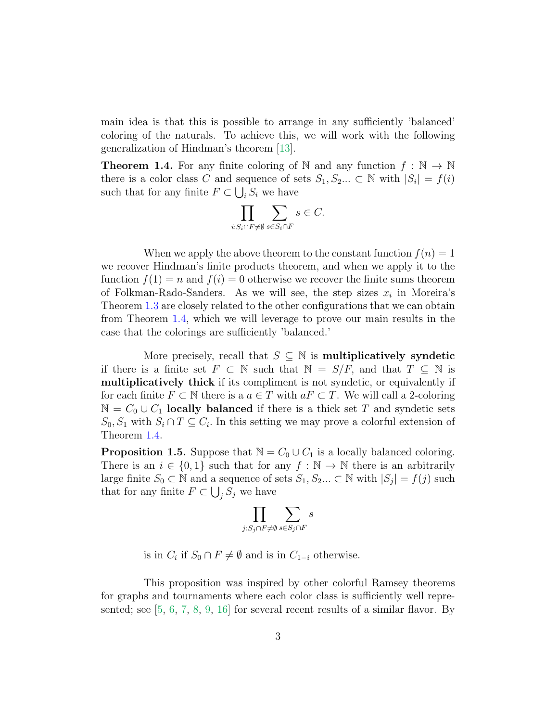main idea is that this is possible to arrange in any sufficiently 'balanced' coloring of the naturals. To achieve this, we will work with the following generalization of Hindman's theorem [\[13\]](#page-14-3).

<span id="page-2-0"></span>**Theorem 1.4.** For any finite coloring of N and any function  $f : \mathbb{N} \to \mathbb{N}$ there is a color class C and sequence of sets  $S_1, S_2... \subset \mathbb{N}$  with  $|S_i| = f(i)$ such that for any finite  $F \subset \bigcup_i S_i$  we have

$$
\prod_{i: S_i\cap F\neq\emptyset}\sum_{s\in S_i\cap F} s\in C.
$$

When we apply the above theorem to the constant function  $f(n) = 1$ we recover Hindman's finite products theorem, and when we apply it to the function  $f(1) = n$  and  $f(i) = 0$  otherwise we recover the finite sums theorem of Folkman-Rado-Sanders. As we will see, the step sizes  $x_i$  in Moreira's Theorem [1.3](#page-1-0) are closely related to the other configurations that we can obtain from Theorem [1.4,](#page-2-0) which we will leverage to prove our main results in the case that the colorings are sufficiently 'balanced.'

More precisely, recall that  $S \subseteq \mathbb{N}$  is **multiplicatively syndetic** if there is a finite set  $F \subset \mathbb{N}$  such that  $\mathbb{N} = S/F$ , and that  $T \subseteq \mathbb{N}$  is multiplicatively thick if its compliment is not syndetic, or equivalently if for each finite  $F \subset \mathbb{N}$  there is a  $a \in T$  with  $aF \subset T$ . We will call a 2-coloring  $\mathbb{N} = C_0 \cup C_1$  locally balanced if there is a thick set T and syndetic sets  $S_0, S_1$  with  $S_i \cap T \subseteq C_i$ . In this setting we may prove a colorful extension of Theorem [1.4.](#page-2-0)

<span id="page-2-1"></span>**Proposition 1.5.** Suppose that  $\mathbb{N} = C_0 \cup C_1$  is a locally balanced coloring. There is an  $i \in \{0,1\}$  such that for any  $f : \mathbb{N} \to \mathbb{N}$  there is an arbitrarily large finite  $S_0 \subset \mathbb{N}$  and a sequence of sets  $S_1, S_2, \ldots \subset \mathbb{N}$  with  $|S_j| = f(j)$  such that for any finite  $F \subset \bigcup_j S_j$  we have

$$
\prod_{j: S_j\cap F\neq\emptyset} \sum_{s\in S_j\cap F} s
$$

is in  $C_i$  if  $S_0 \cap F \neq \emptyset$  and is in  $C_{1-i}$  otherwise.

This proposition was inspired by other colorful Ramsey theorems for graphs and tournaments where each color class is sufficiently well represented; see [\[5,](#page-14-4) [6,](#page-14-5) [7,](#page-14-6) [8,](#page-14-7) [9,](#page-14-8) [16\]](#page-14-9) for several recent results of a similar flavor. By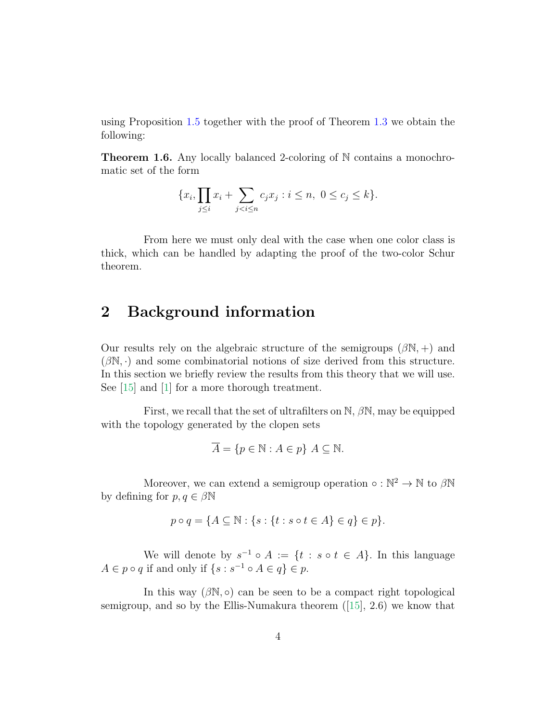using Proposition [1.5](#page-2-1) together with the proof of Theorem [1.3](#page-1-0) we obtain the following:

<span id="page-3-0"></span>Theorem 1.6. Any locally balanced 2-coloring of N contains a monochromatic set of the form

$$
\{x_i, \prod_{j \le i} x_i + \sum_{j < i \le n} c_j x_j : i \le n, \ 0 \le c_j \le k\}.
$$

From here we must only deal with the case when one color class is thick, which can be handled by adapting the proof of the two-color Schur theorem.

### 2 Background information

Our results rely on the algebraic structure of the semigroups  $(\beta N, +)$  and  $(\beta \mathbb{N}, \cdot)$  and some combinatorial notions of size derived from this structure. In this section we briefly review the results from this theory that we will use. See [\[15\]](#page-14-10) and [\[1\]](#page-13-2) for a more thorough treatment.

First, we recall that the set of ultrafilters on  $\mathbb{N}, \beta \mathbb{N}$ , may be equipped with the topology generated by the clopen sets

$$
\overline{A} = \{ p \in \mathbb{N} : A \in p \} \ A \subseteq \mathbb{N}.
$$

Moreover, we can extend a semigroup operation  $\circ : \mathbb{N}^2 \to \mathbb{N}$  to  $\beta \mathbb{N}$ by defining for  $p, q \in \beta \mathbb{N}$ 

$$
p \circ q = \{ A \subseteq \mathbb{N} : \{ s : \{ t : s \circ t \in A \} \in q \} \in p \}.
$$

We will denote by  $s^{-1} \circ A := \{t : s \circ t \in A\}$ . In this language  $A \in p \circ q$  if and only if  $\{s : s^{-1} \circ A \in q\} \in p$ .

In this way  $(\beta N, \circ)$  can be seen to be a compact right topological semigroup, and so by the Ellis-Numakura theorem ([\[15\]](#page-14-10), 2.6) we know that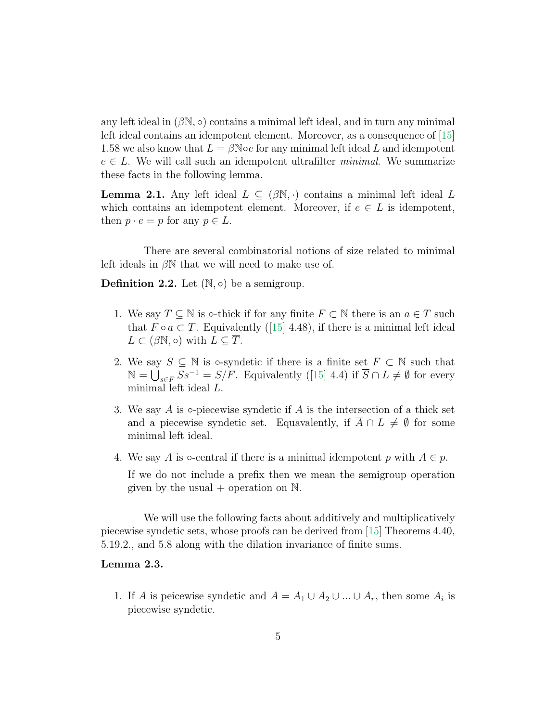any left ideal in  $(\beta N, \circ)$  contains a minimal left ideal, and in turn any minimal left ideal contains an idempotent element. Moreover, as a consequence of [\[15\]](#page-14-10) 1.58 we also know that  $L = \beta$ N $\circ e$  for any minimal left ideal L and idempotent  $e \in L$ . We will call such an idempotent ultrafilter *minimal*. We summarize these facts in the following lemma.

<span id="page-4-1"></span>**Lemma 2.1.** Any left ideal  $L \subseteq (\beta \mathbb{N}, \cdot)$  contains a minimal left ideal L which contains an idempotent element. Moreover, if  $e \in L$  is idempotent, then  $p \cdot e = p$  for any  $p \in L$ .

There are several combinatorial notions of size related to minimal left ideals in  $\beta N$  that we will need to make use of.

**Definition 2.2.** Let  $(\mathbb{N}, \circ)$  be a semigroup.

- 1. We say  $T \subseteq \mathbb{N}$  is  $\circ$ -thick if for any finite  $F \subset \mathbb{N}$  there is an  $a \in T$  such that  $F \circ a \subset T$ . Equivalently ([\[15\]](#page-14-10) 4.48), if there is a minimal left ideal  $L \subset (\beta \mathbb{N}, \circ)$  with  $L \subseteq \overline{T}$ .
- 2. We say  $S \subseteq \mathbb{N}$  is  $\circ$ -syndetic if there is a finite set  $F \subset \mathbb{N}$  such that  $\mathbb{N} = \bigcup_{s \in F} S s^{-1} = S/F.$  Equivalently ([\[15\]](#page-14-10) 4.4) if  $\overline{S} \cap L \neq \emptyset$  for every minimal left ideal L.
- 3. We say A is  $\circ$ -piecewise syndetic if A is the intersection of a thick set and a piecewise syndetic set. Equavalently, if  $\overline{A} \cap L \neq \emptyset$  for some minimal left ideal.
- 4. We say A is  $\circ$ -central if there is a minimal idempotent p with  $A \in p$ .

If we do not include a prefix then we mean the semigroup operation given by the usual  $+$  operation on  $\mathbb{N}$ .

We will use the following facts about additively and multiplicatively piecewise syndetic sets, whose proofs can be derived from [\[15\]](#page-14-10) Theorems 4.40, 5.19.2., and 5.8 along with the dilation invariance of finite sums.

#### <span id="page-4-0"></span>Lemma 2.3.

1. If A is peicewise syndetic and  $A = A_1 \cup A_2 \cup ... \cup A_r$ , then some  $A_i$  is piecewise syndetic.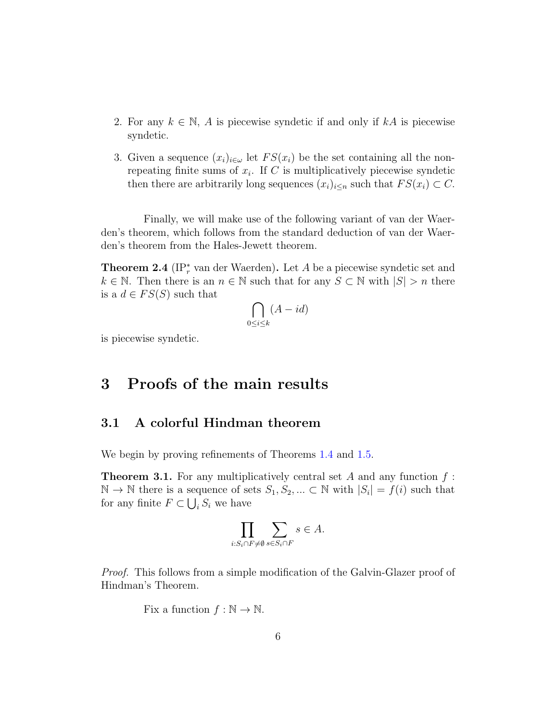- 2. For any  $k \in \mathbb{N}$ , A is piecewise syndetic if and only if kA is piecewise syndetic.
- 3. Given a sequence  $(x_i)_{i\in\omega}$  let  $FS(x_i)$  be the set containing all the nonrepeating finite sums of  $x_i$ . If C is multiplicatively piecewise syndetic then there are arbitrarily long sequences  $(x_i)_{i\leq n}$  such that  $FS(x_i) \subset C$ .

Finally, we will make use of the following variant of van der Waerden's theorem, which follows from the standard deduction of van der Waerden's theorem from the Hales-Jewett theorem.

<span id="page-5-1"></span>**Theorem 2.4** ( $IP_r^*$  van der Waerden). Let A be a piecewise syndetic set and  $k \in \mathbb{N}$ . Then there is an  $n \in \mathbb{N}$  such that for any  $S \subset \mathbb{N}$  with  $|S| > n$  there is a  $d \in FS(S)$  such that

$$
\bigcap_{0 \le i \le k} (A - id)
$$

is piecewise syndetic.

### 3 Proofs of the main results

#### 3.1 A colorful Hindman theorem

We begin by proving refinements of Theorems  $1.4$  and  $1.5$ .

<span id="page-5-0"></span>**Theorem 3.1.** For any multiplicatively central set A and any function  $f$ :  $\mathbb{N} \to \mathbb{N}$  there is a sequence of sets  $S_1, S_2, ... \subset \mathbb{N}$  with  $|S_i| = f(i)$  such that for any finite  $F \subset \bigcup_i S_i$  we have

$$
\prod_{i:S_i\cap F\neq\emptyset}\sum_{s\in S_i\cap F} s\in A.
$$

Proof. This follows from a simple modification of the Galvin-Glazer proof of Hindman's Theorem.

Fix a function  $f : \mathbb{N} \to \mathbb{N}$ .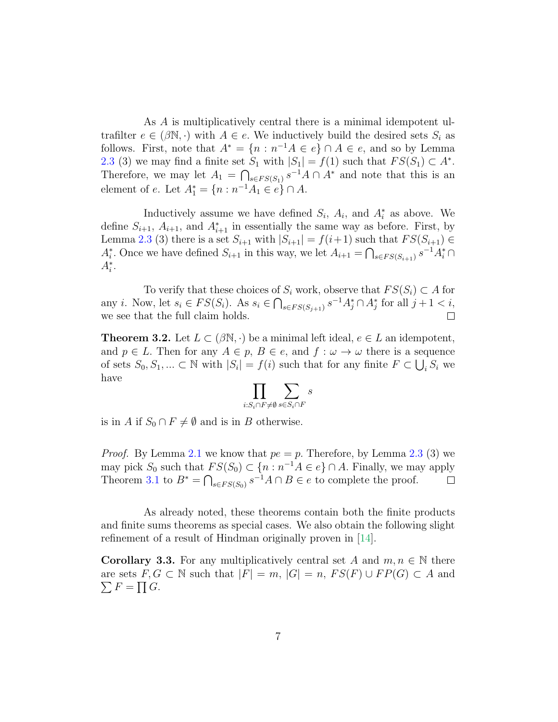As A is multiplicatively central there is a minimal idempotent ultrafilter  $e \in (\beta \mathbb{N}, \cdot)$  with  $A \in e$ . We inductively build the desired sets  $S_i$  as follows. First, note that  $A^* = \{n : n^{-1}A \in e\} \cap A \in e$ , and so by Lemma [2.3](#page-4-0) (3) we may find a finite set  $S_1$  with  $|S_1| = f(1)$  such that  $FS(S_1) \subset A^*$ . Therefore, we may let  $A_1 = \bigcap_{s \in FS(S_1)} s^{-1}A \cap A^*$  and note that this is an element of e. Let  $A_1^* = \{n : n^{-1}A_1 \in e\} \cap A$ .

Inductively assume we have defined  $S_i$ ,  $A_i$ , and  $A_i^*$  as above. We define  $S_{i+1}$ ,  $A_{i+1}$ , and  $A_{i+1}^*$  in essentially the same way as before. First, by Lemma [2.3](#page-4-0) (3) there is a set  $S_{i+1}$  with  $|S_{i+1}| = f(i+1)$  such that  $FS(S_{i+1}) \in$  $A_i^*$ . Once we have defined  $S_{i+1}$  in this way, we let  $A_{i+1} = \bigcap_{s \in FS(S_{i+1})} s^{-1}A_i^* \cap$  $A_i^*$ .

To verify that these choices of  $S_i$  work, observe that  $FS(S_i) \subset A$  for any *i*. Now, let  $s_i \in FS(S_i)$ . As  $s_i \in \bigcap_{s \in FS(S_{j+1})} s^{-1}A_j^* \cap A_j^*$  for all  $j+1 < i$ , we see that the full claim holds.  $\Box$ 

<span id="page-6-0"></span>**Theorem 3.2.** Let  $L \subset (\beta \mathbb{N}, \cdot)$  be a minimal left ideal,  $e \in L$  an idempotent, and  $p \in L$ . Then for any  $A \in p$ ,  $B \in e$ , and  $f : \omega \to \omega$  there is a sequence of sets  $S_0, S_1, ... \subset \mathbb{N}$  with  $|S_i| = f(i)$  such that for any finite  $F \subset \bigcup_i S_i$  we have

$$
\prod_{i: S_i\cap F\neq\emptyset} \sum_{s\in S_i\cap F} s
$$

is in A if  $S_0 \cap F \neq \emptyset$  and is in B otherwise.

*Proof.* By Lemma [2.1](#page-4-1) we know that  $pe = p$ . Therefore, by Lemma [2.3](#page-4-0) (3) we may pick  $S_0$  such that  $FS(S_0) \subset \{n : n^{-1}A \in e\} \cap A$ . Finally, we may apply Theorem [3.1](#page-5-0) to  $B^* = \bigcap_{s \in FS(S_0)} s^{-1}A \cap B \in e$  to complete the proof.

As already noted, these theorems contain both the finite products and finite sums theorems as special cases. We also obtain the following slight refinement of a result of Hindman originally proven in [\[14\]](#page-14-11).

**Corollary 3.3.** For any multiplicatively central set A and  $m, n \in \mathbb{N}$  there are sets  $F, G \subset \mathbb{N}$  such that  $|F| = m$ ,  $|G| = n$ ,  $FS(F) \cup FP(G) \subset A$  and  $\sum F = \prod G$ .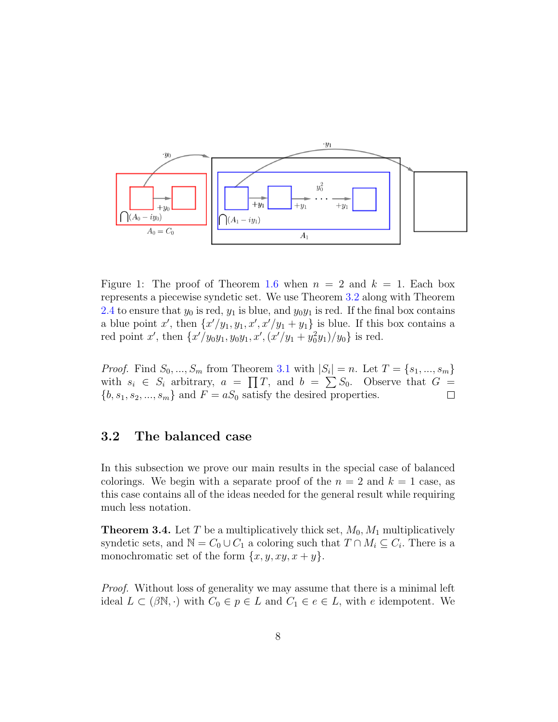

Figure 1: The proof of Theorem [1.6](#page-3-0) when  $n = 2$  and  $k = 1$ . Each box represents a piecewise syndetic set. We use Theorem [3.2](#page-6-0) along with Theorem [2.4](#page-5-1) to ensure that  $y_0$  is red,  $y_1$  is blue, and  $y_0y_1$  is red. If the final box contains a blue point x', then  $\{x'/y_1, y_1, x', x'/y_1 + y_1\}$  is blue. If this box contains a red point x', then  $\{x'/y_0y_1, y_0y_1, x', (x'/y_1 + y_0^2y_1)/y_0\}$  is red.

*Proof.* Find  $S_0, ..., S_m$  from Theorem [3.1](#page-5-0) with  $|S_i| = n$ . Let  $T = \{s_1, ..., s_m\}$ with  $s_i \in S_i$  arbitrary,  $a = \prod T$ , and  $b = \sum S_0$ . Observe that  $G =$  ${b, s_1, s_2, ..., s_m}$  and  $F = aS_0$  satisfy the desired properties.  $\Box$ 

#### 3.2 The balanced case

In this subsection we prove our main results in the special case of balanced colorings. We begin with a separate proof of the  $n = 2$  and  $k = 1$  case, as this case contains all of the ideas needed for the general result while requiring much less notation.

**Theorem 3.4.** Let T be a multiplicatively thick set,  $M_0$ ,  $M_1$  multiplicatively syndetic sets, and  $\mathbb{N} = C_0 \cup C_1$  a coloring such that  $T \cap M_i \subseteq C_i$ . There is a monochromatic set of the form  $\{x, y, xy, x + y\}.$ 

Proof. Without loss of generality we may assume that there is a minimal left ideal  $L \subset (\beta \mathbb{N}, \cdot)$  with  $C_0 \in p \in L$  and  $C_1 \in e \in L$ , with e idempotent. We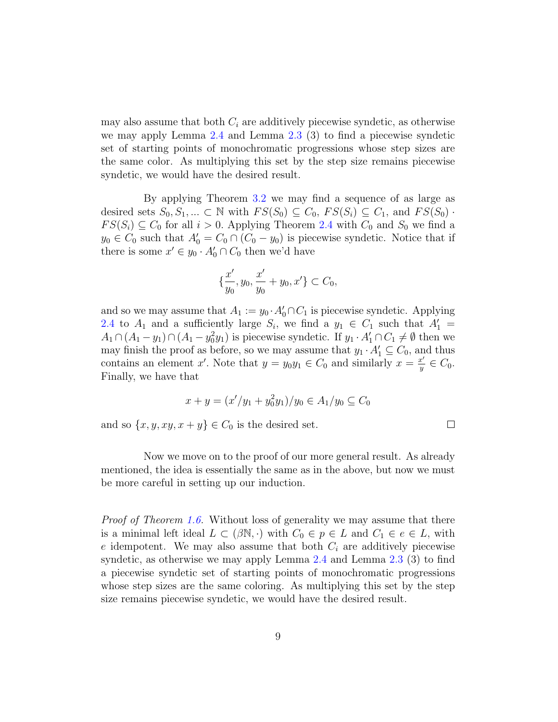may also assume that both  $C_i$  are additively piecewise syndetic, as otherwise we may apply Lemma [2.4](#page-5-1) and Lemma [2.3](#page-4-0) (3) to find a piecewise syndetic set of starting points of monochromatic progressions whose step sizes are the same color. As multiplying this set by the step size remains piecewise syndetic, we would have the desired result.

By applying Theorem [3.2](#page-6-0) we may find a sequence of as large as desired sets  $S_0, S_1, ... \subset \mathbb{N}$  with  $FS(S_0) \subseteq C_0$ ,  $FS(S_i) \subseteq C_1$ , and  $FS(S_0)$ .  $FS(S_i) \subseteq C_0$  for all  $i > 0$ . Applying Theorem [2.4](#page-5-1) with  $C_0$  and  $S_0$  we find a  $y_0 \in C_0$  such that  $A'_0 = C_0 \cap (C_0 - y_0)$  is piecewise syndetic. Notice that if there is some  $x' \in y_0 \cdot A'_0 \cap C_0$  then we'd have

$$
\{\frac{x'}{y_0}, y_0, \frac{x'}{y_0} + y_0, x'\} \subset C_0,
$$

and so we may assume that  $A_1 := y_0 \cdot A'_0 \cap C_1$  is piecewise syndetic. Applying [2.4](#page-5-1) to  $A_1$  and a sufficiently large  $S_i$ , we find a  $y_1 \in C_1$  such that  $A'_1 =$  $A_1 \cap (A_1 - y_1) \cap (A_1 - y_0^2 y_1)$  is piecewise syndetic. If  $y_1 \cdot A'_1 \cap C_1 \neq \emptyset$  then we may finish the proof as before, so we may assume that  $y_1 \cdot A'_1 \subseteq C_0$ , and thus contains an element x'. Note that  $y = y_0y_1 \in C_0$  and similarly  $x = \frac{x'}{y}$  $\frac{x'}{y} \in C_0.$ Finally, we have that

$$
x + y = (x'/y_1 + y_0^2 y_1)/y_0 \in A_1/y_0 \subseteq C_0
$$

and so  $\{x, y, xy, x + y\} \in C_0$  is the desired set.

 $\Box$ 

Now we move on to the proof of our more general result. As already mentioned, the idea is essentially the same as in the above, but now we must be more careful in setting up our induction.

Proof of Theorem [1.6.](#page-3-0) Without loss of generality we may assume that there is a minimal left ideal  $L \subset (\beta \mathbb{N}, \cdot)$  with  $C_0 \in p \in L$  and  $C_1 \in e \in L$ , with e idempotent. We may also assume that both  $C_i$  are additively piecewise syndetic, as otherwise we may apply Lemma [2.4](#page-5-1) and Lemma [2.3](#page-4-0) (3) to find a piecewise syndetic set of starting points of monochromatic progressions whose step sizes are the same coloring. As multiplying this set by the step size remains piecewise syndetic, we would have the desired result.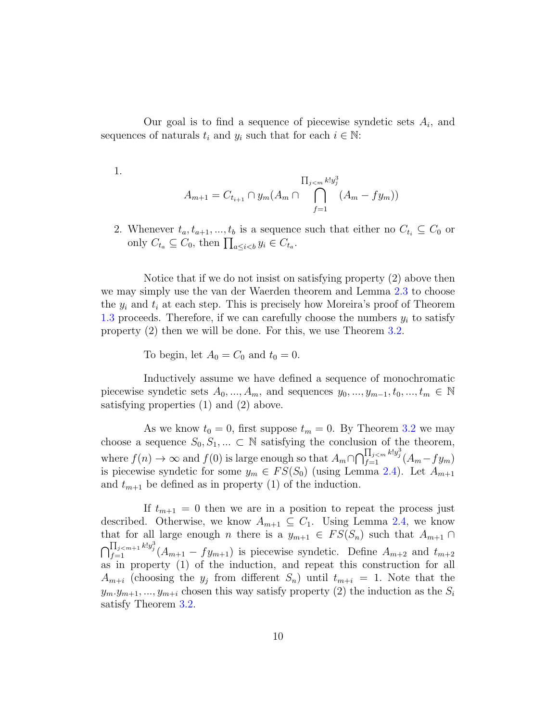Our goal is to find a sequence of piecewise syndetic sets  $A_i$ , and sequences of naturals  $t_i$  and  $y_i$  such that for each  $i \in \mathbb{N}$ :

1.

$$
A_{m+1} = C_{t_{i+1}} \cap y_m(A_m \cap \bigcap_{f=1}^{\prod_{j < m} k! y_j^3} (A_m - fy_m))
$$

2. Whenever  $t_a, t_{a+1}, ..., t_b$  is a sequence such that either no  $C_{t_i} \subseteq C_0$  or only  $C_{t_a} \subseteq C_0$ , then  $\prod_{a \leq i < b} y_i \in C_{t_a}$ .

Notice that if we do not insist on satisfying property (2) above then we may simply use the van der Waerden theorem and Lemma [2.3](#page-4-0) to choose the  $y_i$  and  $t_i$  at each step. This is precisely how Moreira's proof of Theorem [1.3](#page-1-0) proceeds. Therefore, if we can carefully choose the numbers  $y_i$  to satisfy property (2) then we will be done. For this, we use Theorem [3.2.](#page-6-0)

To begin, let  $A_0 = C_0$  and  $t_0 = 0$ .

Inductively assume we have defined a sequence of monochromatic piecewise syndetic sets  $A_0, ..., A_m$ , and sequences  $y_0, ..., y_{m-1}, t_0, ..., t_m \in \mathbb{N}$ satisfying properties (1) and (2) above.

As we know  $t_0 = 0$ , first suppose  $t_m = 0$ . By Theorem [3.2](#page-6-0) we may choose a sequence  $S_0, S_1, \dots \subset \mathbb{N}$  satisfying the conclusion of the theorem, where  $f(n) \to \infty$  and  $f(0)$  is large enough so that  $A_m \cap \bigcap_{f=1}^{\prod_{j \le m} k! y_j^3} (A_m - fy_m)$ is piecewise syndetic for some  $y_m \in FS(S_0)$  (using Lemma [2.4\)](#page-5-1). Let  $A_{m+1}$ and  $t_{m+1}$  be defined as in property (1) of the induction.

If  $t_{m+1} = 0$  then we are in a position to repeat the process just described. Otherwise, we know  $A_{m+1} \subseteq C_1$ . Using Lemma [2.4,](#page-5-1) we know that for all large enough *n* there is a  $y_{m+1} \in FS(S_n)$  such that  $A_{m+1} \cap$  $\bigcap_{f=1}^{\prod_{j+m+1} k! y_j^3} (A_{m+1} - fy_{m+1})$  is piecewise syndetic. Define  $A_{m+2}$  and  $t_{m+2}$ as in property (1) of the induction, and repeat this construction for all  $A_{m+i}$  (choosing the  $y_j$  from different  $S_n$ ) until  $t_{m+i} = 1$ . Note that the  $y_m. y_{m+1}, ..., y_{m+i}$  chosen this way satisfy property (2) the induction as the  $S_i$ satisfy Theorem [3.2.](#page-6-0)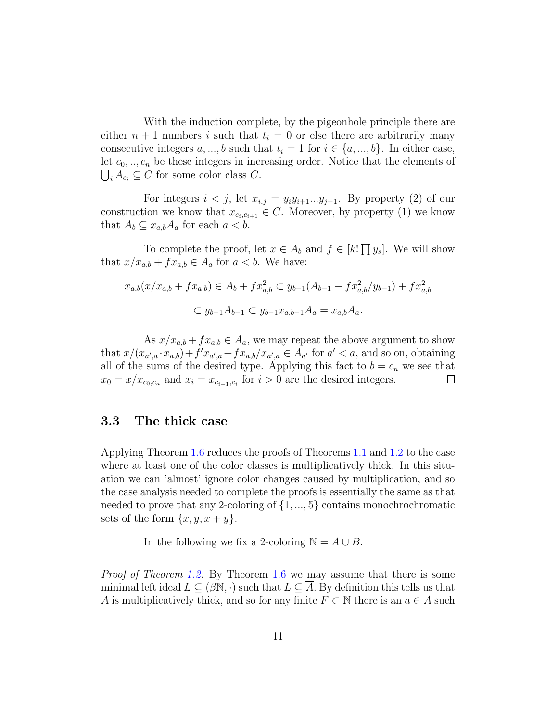With the induction complete, by the pigeonhole principle there are either  $n + 1$  numbers i such that  $t_i = 0$  or else there are arbitrarily many consecutive integers  $a, ..., b$  such that  $t_i = 1$  for  $i \in \{a, ..., b\}$ . In either case, let  $c_0, \ldots, c_n$  be these integers in increasing order. Notice that the elements of  $\bigcup_i A_{c_i} \subseteq C$  for some color class C.

For integers  $i < j$ , let  $x_{i,j} = y_i y_{i+1} \dots y_{j-1}$ . By property (2) of our construction we know that  $x_{c_i,c_{i+1}} \in C$ . Moreover, by property (1) we know that  $A_b \subseteq x_{a,b}A_a$  for each  $a < b$ .

To complete the proof, let  $x \in A_b$  and  $f \in [k] \prod y_s$ . We will show that  $x/x_{a,b} + fx_{a,b} \in A_a$  for  $a < b$ . We have:

$$
x_{a,b}(x/x_{a,b} + fx_{a,b}) \in A_b + fx_{a,b}^2 \subset y_{b-1}(A_{b-1} - fx_{a,b}^2/y_{b-1}) + fx_{a,b}^2
$$

$$
\subset y_{b-1}A_{b-1} \subset y_{b-1}x_{a,b-1}A_a = x_{a,b}A_a.
$$

As  $x/x_{a,b} + fx_{a,b} \in A_a$ , we may repeat the above argument to show that  $x/(x_{a',a} \cdot x_{a,b}) + f'x_{a',a} + fx_{a,b}/x_{a',a} \in A_{a'}$  for  $a' < a$ , and so on, obtaining all of the sums of the desired type. Applying this fact to  $b = c_n$  we see that  $x_0 = x/x_{c_0,c_n}$  and  $x_i = x_{c_{i-1},c_i}$  for  $i > 0$  are the desired integers.  $\Box$ 

### 3.3 The thick case

Applying Theorem [1.6](#page-3-0) reduces the proofs of Theorems [1.1](#page-1-1) and [1.2](#page-1-2) to the case where at least one of the color classes is multiplicatively thick. In this situation we can 'almost' ignore color changes caused by multiplication, and so the case analysis needed to complete the proofs is essentially the same as that needed to prove that any 2-coloring of  $\{1, ..., 5\}$  contains monochrochromatic sets of the form  $\{x, y, x+y\}.$ 

In the following we fix a 2-coloring  $\mathbb{N} = A \cup B$ .

Proof of Theorem [1.2.](#page-1-2) By Theorem [1.6](#page-3-0) we may assume that there is some minimal left ideal  $L \subseteq (\beta \mathbb{N}, \cdot)$  such that  $L \subseteq \overline{A}$ . By definition this tells us that A is multiplicatively thick, and so for any finite  $F \subset \mathbb{N}$  there is an  $a \in A$  such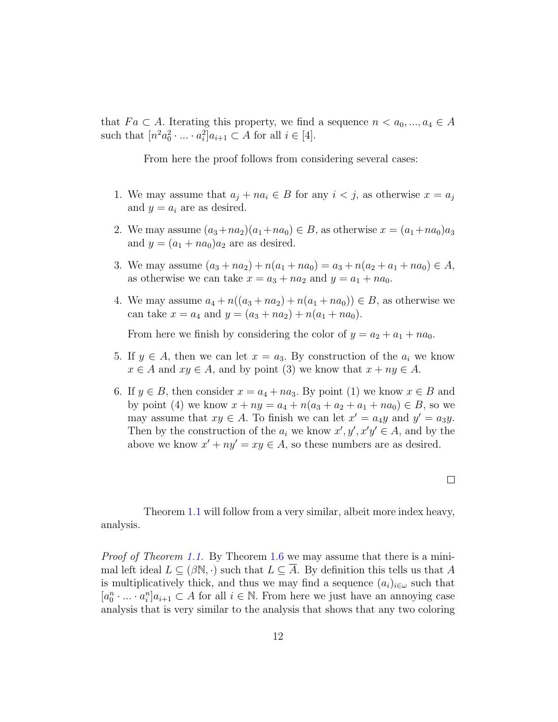that  $Fa\subset A$ . Iterating this property, we find a sequence  $n < a_0, ..., a_4 \in A$ such that  $[n^2 a_0^2 \cdot ... \cdot a_i^2] a_{i+1} \subset A$  for all  $i \in [4]$ .

From here the proof follows from considering several cases:

- 1. We may assume that  $a_j + na_i \in B$  for any  $i < j$ , as otherwise  $x = a_j$ and  $y = a_i$  are as desired.
- 2. We may assume  $(a_3 + na_2)(a_1 + na_0) \in B$ , as otherwise  $x = (a_1 + na_0)a_3$ and  $y = (a_1 + na_0)a_2$  are as desired.
- 3. We may assume  $(a_3 + na_2) + n(a_1 + na_0) = a_3 + n(a_2 + a_1 + na_0) \in A$ , as otherwise we can take  $x = a_3 + na_2$  and  $y = a_1 + na_0$ .
- 4. We may assume  $a_4 + n((a_3 + na_2) + n(a_1 + na_0)) \in B$ , as otherwise we can take  $x = a_4$  and  $y = (a_3 + na_2) + n(a_1 + na_0)$ .

From here we finish by considering the color of  $y = a_2 + a_1 + na_0$ .

- 5. If  $y \in A$ , then we can let  $x = a_3$ . By construction of the  $a_i$  we know  $x \in A$  and  $xy \in A$ , and by point (3) we know that  $x + ny \in A$ .
- 6. If  $y \in B$ , then consider  $x = a_4 + na_3$ . By point (1) we know  $x \in B$  and by point (4) we know  $x + ny = a_4 + n(a_3 + a_2 + a_1 + na_0) \in B$ , so we may assume that  $xy \in A$ . To finish we can let  $x' = a_4y$  and  $y' = a_3y$ . Then by the construction of the  $a_i$  we know  $x', y', x'y' \in A$ , and by the above we know  $x' + ny' = xy \in A$ , so these numbers are as desired.

Theorem [1.1](#page-1-1) will follow from a very similar, albeit more index heavy, analysis.

Proof of Theorem [1.1.](#page-1-1) By Theorem [1.6](#page-3-0) we may assume that there is a minimal left ideal  $L \subseteq (\beta \mathbb{N}, \cdot)$  such that  $L \subseteq A$ . By definition this tells us that A is multiplicatively thick, and thus we may find a sequence  $(a_i)_{i\in\omega}$  such that  $[a_0^n \cdot \ldots \cdot a_i^n] a_{i+1} \subset A$  for all  $i \in \mathbb{N}$ . From here we just have an annoying case analysis that is very similar to the analysis that shows that any two coloring

 $\Box$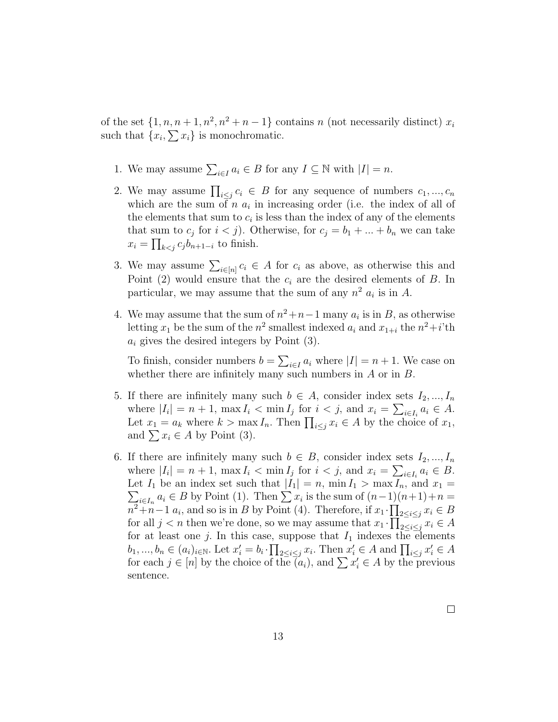of the set  $\{1, n, n+1, n^2, n^2+n-1\}$  contains n (not necessarily distinct)  $x_i$ such that  $\{x_i, \sum x_i\}$  is monochromatic.

- 1. We may assume  $\sum_{i\in I} a_i \in B$  for any  $I \subseteq \mathbb{N}$  with  $|I| = n$ .
- 2. We may assume  $\prod_{i\leq j} c_i \in B$  for any sequence of numbers  $c_1, ..., c_n$ which are the sum of  $n \, a_i$  in increasing order (i.e. the index of all of the elements that sum to  $c_i$  is less than the index of any of the elements that sum to  $c_j$  for  $i < j$ ). Otherwise, for  $c_j = b_1 + \ldots + b_n$  we can take  $x_i = \prod_{k < j} c_j b_{n+1-i}$  to finish.
- 3. We may assume  $\sum_{i\in[n]} c_i \in A$  for  $c_i$  as above, as otherwise this and Point (2) would ensure that the  $c_i$  are the desired elements of B. In particular, we may assume that the sum of any  $n^2$   $a_i$  is in A.
- 4. We may assume that the sum of  $n^2+n-1$  many  $a_i$  is in B, as otherwise letting  $x_1$  be the sum of the  $n^2$  smallest indexed  $a_i$  and  $x_{1+i}$  the  $n^2+i$ 'th  $a_i$  gives the desired integers by Point (3).

To finish, consider numbers  $b = \sum_{i \in I} a_i$  where  $|I| = n + 1$ . We case on whether there are infinitely many such numbers in  $A$  or in  $B$ .

- 5. If there are infinitely many such  $b \in A$ , consider index sets  $I_2, ..., I_n$ where  $|I_i| = n + 1$ ,  $\max I_i < \min I_j$  for  $i < j$ , and  $x_i = \sum_{i \in I_i} a_i \in A$ . Let  $x_1 = a_k$  where  $k > \max I_n$ . Then  $\prod_{i \leq j} x_i \in A$  by the choice of  $x_1$ , and  $\sum x_i \in A$  by Point (3).
- 6. If there are infinitely many such  $b \in B$ , consider index sets  $I_2, ..., I_n$ where  $|I_i| = n + 1$ ,  $\max I_i < \min I_j$  for  $i < j$ , and  $x_i = \sum_{i \in I_i} a_i \in B$ .  $\sum_{i\in I_n} a_i \in B$  by Point (1). Then  $\sum x_i$  is the sum of  $(n-1)(n+1)+n =$ Let  $I_1$  be an index set such that  $|I_1| = n$ ,  $\min I_1 > \max I_n$ , and  $x_1 =$  $n^2+n-1$  a<sub>i</sub>, and so is in B by Point (4). Therefore, if  $x_1 \cdot \prod_{2 \leq i \leq j} x_i \in B$ for all  $j < n$  then we're done, so we may assume that  $x_1 \cdot \prod_{2 \leq i \leq j} x_i \in A$ for at least one j. In this case, suppose that  $I_1$  indexes the elements  $b_1, ..., b_n \in (a_i)_{i \in \mathbb{N}}$ . Let  $x'_i = b_i \cdot \prod_{2 \leq i \leq j} x_i$ . Then  $x'_i \in A$  and  $\prod_{i \leq j} x'_i \in A$ for each  $j \in [n]$  by the choice of the  $\vec{a}_i$ , and  $\sum x'_i \in A$  by the previous sentence.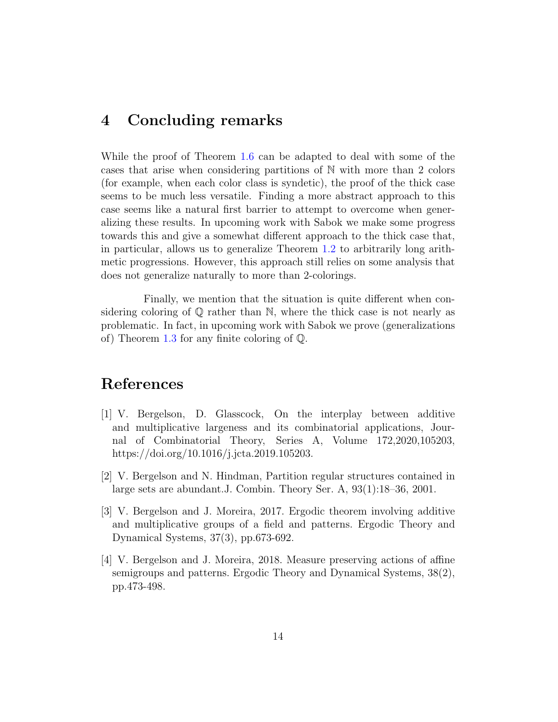### 4 Concluding remarks

While the proof of Theorem [1.6](#page-3-0) can be adapted to deal with some of the cases that arise when considering partitions of N with more than 2 colors (for example, when each color class is syndetic), the proof of the thick case seems to be much less versatile. Finding a more abstract approach to this case seems like a natural first barrier to attempt to overcome when generalizing these results. In upcoming work with Sabok we make some progress towards this and give a somewhat different approach to the thick case that, in particular, allows us to generalize Theorem [1.2](#page-1-2) to arbitrarily long arithmetic progressions. However, this approach still relies on some analysis that does not generalize naturally to more than 2-colorings.

Finally, we mention that the situation is quite different when considering coloring of  $\mathbb{Q}$  rather than N, where the thick case is not nearly as problematic. In fact, in upcoming work with Sabok we prove (generalizations of) Theorem [1.3](#page-1-0) for any finite coloring of Q.

## References

- <span id="page-13-2"></span>[1] V. Bergelson, D. Glasscock, On the interplay between additive and multiplicative largeness and its combinatorial applications, Journal of Combinatorial Theory, Series A, Volume 172,2020,105203, https://doi.org/10.1016/j.jcta.2019.105203.
- [2] V. Bergelson and N. Hindman, Partition regular structures contained in large sets are abundant.J. Combin. Theory Ser. A, 93(1):18–36, 2001.
- <span id="page-13-0"></span>[3] V. Bergelson and J. Moreira, 2017. Ergodic theorem involving additive and multiplicative groups of a field and patterns. Ergodic Theory and Dynamical Systems, 37(3), pp.673-692.
- <span id="page-13-1"></span>[4] V. Bergelson and J. Moreira, 2018. Measure preserving actions of affine semigroups and patterns. Ergodic Theory and Dynamical Systems, 38(2), pp.473-498.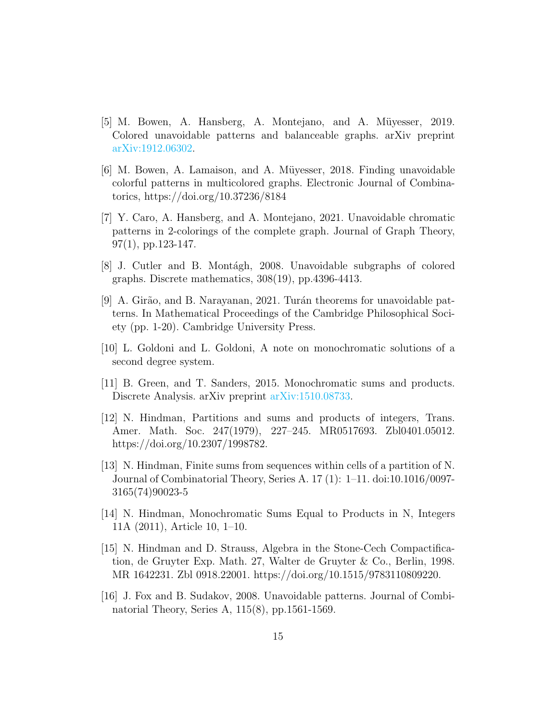- <span id="page-14-4"></span>[5] M. Bowen, A. Hansberg, A. Montejano, and A. M¨uyesser, 2019. Colored unavoidable patterns and balanceable graphs. arXiv preprint [arXiv:1912.06302.](http://arxiv.org/abs/1912.06302)
- <span id="page-14-5"></span>[6] M. Bowen, A. Lamaison, and A. Müyesser, 2018. Finding unavoidable colorful patterns in multicolored graphs. Electronic Journal of Combinatorics, https://doi.org/10.37236/8184
- <span id="page-14-6"></span>[7] Y. Caro, A. Hansberg, and A. Montejano, 2021. Unavoidable chromatic patterns in 2-colorings of the complete graph. Journal of Graph Theory,  $97(1)$ , pp.123-147.
- <span id="page-14-7"></span>[8] J. Cutler and B. Montagh, 2008. Unavoidable subgraphs of colored graphs. Discrete mathematics, 308(19), pp.4396-4413.
- <span id="page-14-8"></span>[9] A. Girão, and B. Narayanan, 2021. Turán theorems for unavoidable patterns. In Mathematical Proceedings of the Cambridge Philosophical Society (pp. 1-20). Cambridge University Press.
- <span id="page-14-0"></span>[10] L. Goldoni and L. Goldoni, A note on monochromatic solutions of a second degree system.
- <span id="page-14-1"></span>[11] B. Green, and T. Sanders, 2015. Monochromatic sums and products. Discrete Analysis. arXiv preprint [arXiv:1510.08733.](http://arxiv.org/abs/1510.08733)
- <span id="page-14-2"></span>[12] N. Hindman, Partitions and sums and products of integers, Trans. Amer. Math. Soc. 247(1979), 227–245. MR0517693. Zbl0401.05012. https://doi.org/10.2307/1998782.
- <span id="page-14-3"></span>[13] N. Hindman, Finite sums from sequences within cells of a partition of N. Journal of Combinatorial Theory, Series A. 17 (1): 1–11. doi:10.1016/0097- 3165(74)90023-5
- <span id="page-14-11"></span>[14] N. Hindman, Monochromatic Sums Equal to Products in N, Integers 11A (2011), Article 10, 1–10.
- <span id="page-14-10"></span>[15] N. Hindman and D. Strauss, Algebra in the Stone-Cech Compactification, de Gruyter Exp. Math. 27, Walter de Gruyter & Co., Berlin, 1998. MR 1642231. Zbl 0918.22001. https://doi.org/10.1515/9783110809220.
- <span id="page-14-9"></span>[16] J. Fox and B. Sudakov, 2008. Unavoidable patterns. Journal of Combinatorial Theory, Series A, 115(8), pp.1561-1569.